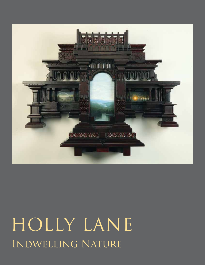

# HOLLY LANE **INDWELLING NATURE**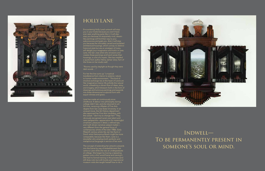Indwell— To be permanently present in someone's soul or mind.

Encountering Holly Lane's artwork will stop you in your tracks because you won't have ever seen anything quite like it. It will also stop you because it's exquisitely vivid, dreamlike paintings will find their way to your subconscious and grab you. And, it will stop you because the intricately carved and polished architectural housings, which convey no distinct historical style but are an amalgam of many, will delight your imagination and hold it in awe. Lane, the San Jose artist who envisions and creates these paintings and hand carves their housings, is a bit of a mystic. She has installed a quote from author Henry James' story *Turn of the Screw* on her studio wall:

### "Rooms used by daylight as though they were dark woods …"

For her the line sums up "a mystical transference from interior to exterior, nature to human made environment." This kind of intuitive exchange lies at the heart of Lane's art. Her imaginative interior life enfolds the natural world, unleashing a vibrant flow of ideas, story, and imagery, which blossom forth in the form of drawings and luminous paintings and expands into three-dimensional sculptural form with equal richness and grace.

Lane has made art continuously since childhood. A detour into philosophy during college didn't last, and she returned to art full time, receiving a Master of Fine Arts degree from San Jose State University. In an unusual move, the Art History department also approved her Fine Arts candidacy, with the caveat: "don't try to change her!" They obviously recognized Lane's rare talent and rarer perspective—appreciation for meaningful ornament, pleasure in detail, a refined eye, and myth-driven narrative subject matter very different from the general focus of contemporary artists of the later 1980s. Early fifteenth century artists like Jan Van Eyck or Dutch artist Hieronymus Bosch might be more comparable, because like them, Lane is a storyteller who employs both symbolic and metaphorical language in service of her work.

The concept of extending her artwork outwards into the frame by way of embellishment first came to Lane while she was an undergraduate at college. She began by tracing a repeating pattern onto a thin wood frame and carving it. She had no formal training in this process (and still does not), but with books and inspirational museum visits she taught herself how to do it.





# HOLLY LANE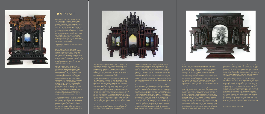

## **HOLLY LANE**

From that simple beginning she has gone on to fashion the elaborately ornamented architectural mansions that support and amplify her paintings. With conscious intent, she has reimagined the relationship of a painting to its frame. No longer a simple dividing line between the art and wall, or a hanging apparatus, the structure becomes "a conceptual or formal elaboration" of its accompanying images, or "like a body that houses and expresses the mind."

Although Lane ultimately gave up the study of philosophy in favor art, its concerns and questions are still very much alive for her. The elemental issues—the nature of being,

Lane's purposeful approach directs each step of her process. When beginning a piece, she may start with either painting or wood, but each will inform the other along the way. Before carving, she works out plans on graph paper in beautifully elaborated drawings. These detailed and to-scale renderings allow her to take measurements from the drawing, transfer the finished design to wood, and also make a record of each work. Her eclectic vocabulary of ornament references a range of architectural styles and each of her miniature turrets, columns, cornices and friezes, accentuated with beading, spirals or foliage motifs, is meticulously worked by hand to a velvety finish. Numerous sketchbooks supply her with countless drawing ideas to choose from. She makes a pastel color study of each image she selects before painting with acrylic, and tests wood stain and varnish color in additional painted studies to gauge the effects of various combinations.

what has meaning, the sacred, mythology and its place in our relationship to the world are all reflected in her work. For example, *Indwelling* (2014), speaks to the unequivocal human bond to nature. As she says "we indwell nature and nature indwells us." Three ethereal landscapes illuminate this idea: the setting sun streams through the forest (the place of quest for wisdom seekers), a misty arc shelters a quiet herd of deer (symbol for the soul) at dusk, and a hushed, watery landscape projects a sense of the sacred that only nature can give. The palpable earth spirits she envisions stand honored and secure parpagne data, spints and entirely stand networked and secare<br>within a rich and protective housing of columns, drawn curtains and balustrades.

More an illuminated sculpture than painting, her work *Four Consolations* (2015), recalls elaborate medieval altarpieces that open to reveal holy beings within. Instead of portraits of saints, four sparkling vignettes are revealed. Each one depicts an experience that provides consolation—those apparently insignificant events that give us respite from our troubles. Lane has chosen trees and music, touching animals and distant vistas, all of which resonate with intuited truth. The elaborately carved structure into which she has set the vignettes plays like a visual symphony. Each passage—from the detailed, golden entablature complete with clouds, to the dark, sturdy rectangular body with its gem-like illuminations secreted behind doors encrusted with quilling (ornamental patterns comprised of tightly spiraled strips of paper), and finally, to its range of supporting moldings and burgundy-toned ornamentation—come together as a beautifully orchestrated



### whole.

Although *Four Consolations* stands as a prime example of Lane's astonishing avenue of expression, each work is, in its own way, an equal. Every variation (like the fine graphite drawings of *Gentle Muse*, 2010, or *Unfoldment*, 2015, for example) is impeccably conceived and crafted. Another work, *After the Storm* (2012), dances with exuberant and fanciful detail, enhanced by small silver clasps attached to its intricately carved doors, and a forest of turrets crowning its roof, in a multi-layered, cathedral-like structure. Whimsical and<br>mysterious animal paintings flank an arch-crowned miniature mysterious animal paintings flank an arch-crowned miniature vista that draws us in. Remarkably, such ambitious edifices never overtake the paintings, which are suffused with light and hold our gaze in a fine balance.

Inevitably, Lane's attraction to woodworking led to an exploration of sculpture for its own sake. The same revelatory carving of *After the Storm* also imbues her imposing eight-foot gilded sculpture, *Forest Lustration by the River Lethe* (2011). Its height and golden finish recall an ancient temple, or with its different stages, a Buddhist stupa. Lane has constructed it as a monument in the form of a water purification ceremony (lustration), to the River Lethe, ruled by the goddess of forgetfulness. According to Greek mythology, one must drink from the river of forgetfulness at death in order to come back to another life. At its highest platform she places a single deer standing among a grove of trees. Looking up in anticipation, it waits for a dove to pour out the water of Lethe. In an allegory that joins the ancient world to the present, Lane reveals

nature as provider of a place to forget daily concerns, where resentments and painful events from the past can drop away. In contrast, her diminutive gilded sculpture *Cubiculum* (2014), references a sacred room found in early Christian catacombs. Inverting the expected space, she carves perfect fan vaults into its small square interior. Instead of big and high, one looks michts small square lifterior. Instead of sig and mg.r, one is<br>downwards into it. Lane describes it as "hand-held loftines a little piece of loftiness that you can take with you."

Although essentially a combined product of painting and woodcarving, Holly Lane's incomparable work is not precisely either one, but a dynamic synergy all its own. In the way of a Renaissance woman, her work draws from the history of art and architecture, the natural world, philosophy, mythology, and psychology. Out of the flow of her intuitive, conceptual, and highly skilled processes, lasting many weeks or months, a singular expression of her own invention arises. Like every creative endeavor, once manifest in the world it begins to take on a life of its own, often different from what the artist imagined or intended. Lane recognizes this as a revelatory gift of her own completed works, and is moved when she discovers something entirely new and unsuspected coming back to her from a finished piece. We are also moved, and more than fortunate that she freely shares her brilliance and artistry with us.

Helaine Glick, Independent Curator

Encountering Holly Lane's artwork will stop you in your tracks because you won't have ever seen anything quite like it. It will also stop you because it's exquisitely vivid, dreamlike paintings will find their way to your subconscious and grab you. And, it will stop you because the intricately carved and polished architectural housings, which convey no distinct historical style but are an amalgam of many, will delight your imagination and hold it in awe. Lane, the San Jose artist who envisions and creates these paintings and hand carves their housings, is a bit of a mystic. She has installed a quote from author Henry James' story *Turn of the Screw* on her studio wall:

"Rooms used by daylight as though they were dark woods …"

For her the line sums up "a mystical transference from interior to exterior, nature<br>to human made environment." This kind of to human made environment." This kind of intuitive exchange lies at the heart of Lane's art. Her imaginative interior life enfolds the natural world, unleashing a vibrant flow of ideas, story, and imagery, which blossom forth in the form of drawings and luminous paintings and expands into three-dimensional sculptural form with equal richness and grace.

Lane has made art continuously since childhood. A detour into philosophy during college didn't last, and she returned to art full time, receiving a Master of Fine Arts degree from San Jose State University. In an unusual move, the Art History department also approved her Fine Arts candidacy, with<br>the caveat: "don't try to change her!" They the caveat: "don't try to change her!" They obviously recognized Lane's rare talent and rarer perspective—appreciation for meaningful ornament, pleasure in detail, a refined eye, and myth-driven narrative subject matter very different from the general focus of contemporary artists of the later 1980s. Early fifteenth century artists like Jan Van Eyck or Dutch artist Hieronymus Bosch might be more comparable, because like them, Lane is a storyteller who employs both symbolic and metaphorical language in service of her work.

The concept of extending her artwork outwards into the frame by way of embellishment first came to Lane while she was an undergraduate at college. She began by tracing a repeating pattern onto a thin wood frame and carving it. She had no formal training in this process (and still does not), but with books and inspirational museum visits she taught herself how to do it.